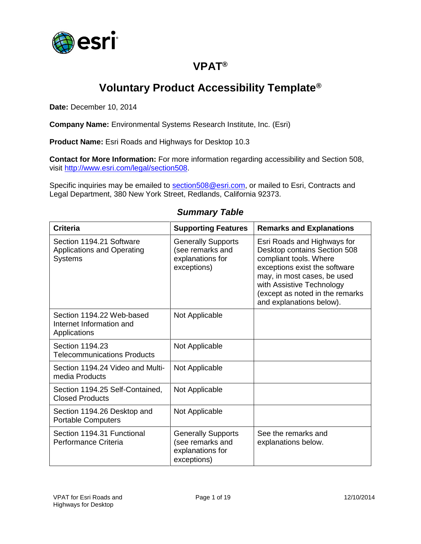

## **VPAT®**

# **Voluntary Product Accessibility Template®**

**Date:** December 10, 2014

**Company Name:** Environmental Systems Research Institute, Inc. (Esri)

**Product Name:** Esri Roads and Highways for Desktop 10.3

**Contact for More Information:** For more information regarding accessibility and Section 508, visit [http://www.esri.com/legal/section508.](http://www.esri.com/legal/section508)

Specific inquiries may be emailed to [section508@esri.com,](mailto:section508@esri.com) or mailed to Esri, Contracts and Legal Department, 380 New York Street, Redlands, California 92373.

| <b>Criteria</b>                                                                 | <b>Supporting Features</b>                                                       | <b>Remarks and Explanations</b>                                                                                                                                                                                                                   |
|---------------------------------------------------------------------------------|----------------------------------------------------------------------------------|---------------------------------------------------------------------------------------------------------------------------------------------------------------------------------------------------------------------------------------------------|
| Section 1194.21 Software<br><b>Applications and Operating</b><br><b>Systems</b> | <b>Generally Supports</b><br>(see remarks and<br>explanations for<br>exceptions) | Esri Roads and Highways for<br>Desktop contains Section 508<br>compliant tools. Where<br>exceptions exist the software<br>may, in most cases, be used<br>with Assistive Technology<br>(except as noted in the remarks<br>and explanations below). |
| Section 1194.22 Web-based<br>Internet Information and<br>Applications           | Not Applicable                                                                   |                                                                                                                                                                                                                                                   |
| Section 1194.23<br><b>Telecommunications Products</b>                           | Not Applicable                                                                   |                                                                                                                                                                                                                                                   |
| Section 1194.24 Video and Multi-<br>media Products                              | Not Applicable                                                                   |                                                                                                                                                                                                                                                   |
| Section 1194.25 Self-Contained,<br><b>Closed Products</b>                       | Not Applicable                                                                   |                                                                                                                                                                                                                                                   |
| Section 1194.26 Desktop and<br><b>Portable Computers</b>                        | Not Applicable                                                                   |                                                                                                                                                                                                                                                   |
| Section 1194.31 Functional<br>Performance Criteria                              | <b>Generally Supports</b><br>(see remarks and<br>explanations for<br>exceptions) | See the remarks and<br>explanations below.                                                                                                                                                                                                        |

#### *Summary Table*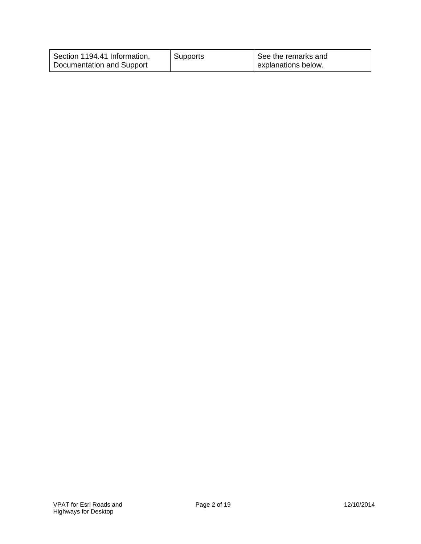| Section 1194.41 Information, | Supports | See the remarks and |
|------------------------------|----------|---------------------|
| Documentation and Support    |          | explanations below. |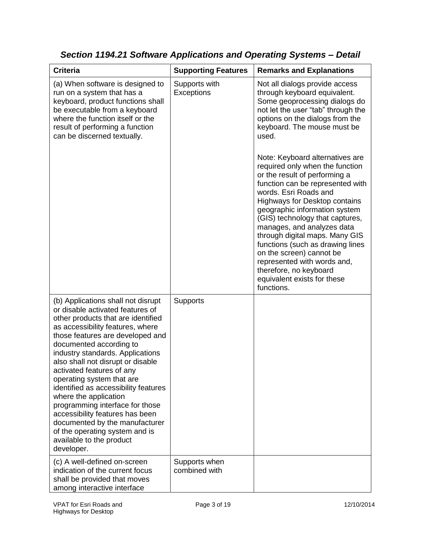| <b>Criteria</b>                                                                                                                                                                                                                                                                                                                                                                                                                                                                                                                                                                                         | <b>Supporting Features</b>     | <b>Remarks and Explanations</b>                                                                                                                                                                                                                                                                                                                                                                                                                                                                                    |
|---------------------------------------------------------------------------------------------------------------------------------------------------------------------------------------------------------------------------------------------------------------------------------------------------------------------------------------------------------------------------------------------------------------------------------------------------------------------------------------------------------------------------------------------------------------------------------------------------------|--------------------------------|--------------------------------------------------------------------------------------------------------------------------------------------------------------------------------------------------------------------------------------------------------------------------------------------------------------------------------------------------------------------------------------------------------------------------------------------------------------------------------------------------------------------|
| (a) When software is designed to<br>run on a system that has a<br>keyboard, product functions shall<br>be executable from a keyboard<br>where the function itself or the<br>result of performing a function<br>can be discerned textually.                                                                                                                                                                                                                                                                                                                                                              | Supports with<br>Exceptions    | Not all dialogs provide access<br>through keyboard equivalent.<br>Some geoprocessing dialogs do<br>not let the user "tab" through the<br>options on the dialogs from the<br>keyboard. The mouse must be<br>used.                                                                                                                                                                                                                                                                                                   |
|                                                                                                                                                                                                                                                                                                                                                                                                                                                                                                                                                                                                         |                                | Note: Keyboard alternatives are<br>required only when the function<br>or the result of performing a<br>function can be represented with<br>words. Esri Roads and<br><b>Highways for Desktop contains</b><br>geographic information system<br>(GIS) technology that captures,<br>manages, and analyzes data<br>through digital maps. Many GIS<br>functions (such as drawing lines<br>on the screen) cannot be<br>represented with words and,<br>therefore, no keyboard<br>equivalent exists for these<br>functions. |
| (b) Applications shall not disrupt<br>or disable activated features of<br>other products that are identified<br>as accessibility features, where<br>those features are developed and<br>documented according to<br>industry standards. Applications<br>also shall not disrupt or disable<br>activated features of any<br>operating system that are<br>identified as accessibility features<br>where the application<br>programming interface for those<br>accessibility features has been<br>documented by the manufacturer<br>of the operating system and is<br>available to the product<br>developer. | <b>Supports</b>                |                                                                                                                                                                                                                                                                                                                                                                                                                                                                                                                    |
| (c) A well-defined on-screen<br>indication of the current focus<br>shall be provided that moves<br>among interactive interface                                                                                                                                                                                                                                                                                                                                                                                                                                                                          | Supports when<br>combined with |                                                                                                                                                                                                                                                                                                                                                                                                                                                                                                                    |

*Section 1194.21 Software Applications and Operating Systems – Detail*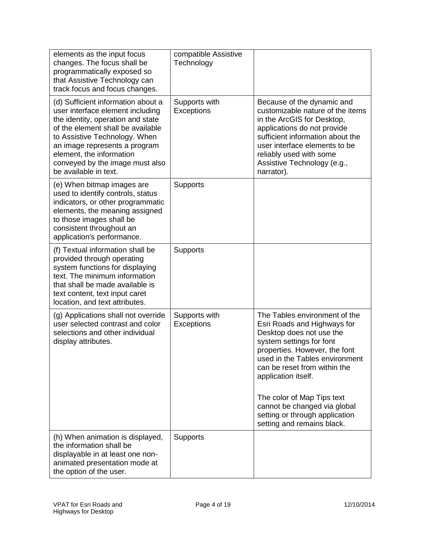| elements as the input focus<br>changes. The focus shall be<br>programmatically exposed so<br>that Assistive Technology can<br>track focus and focus changes.                                                                                                                                               | compatible Assistive<br>Technology |                                                                                                                                                                                                                                                                                                                                                                              |
|------------------------------------------------------------------------------------------------------------------------------------------------------------------------------------------------------------------------------------------------------------------------------------------------------------|------------------------------------|------------------------------------------------------------------------------------------------------------------------------------------------------------------------------------------------------------------------------------------------------------------------------------------------------------------------------------------------------------------------------|
| (d) Sufficient information about a<br>user interface element including<br>the identity, operation and state<br>of the element shall be available<br>to Assistive Technology. When<br>an image represents a program<br>element, the information<br>conveyed by the image must also<br>be available in text. | Supports with<br>Exceptions        | Because of the dynamic and<br>customizable nature of the items<br>in the ArcGIS for Desktop,<br>applications do not provide<br>sufficient information about the<br>user interface elements to be<br>reliably used with some<br>Assistive Technology (e.g.,<br>narrator).                                                                                                     |
| (e) When bitmap images are<br>used to identify controls, status<br>indicators, or other programmatic<br>elements, the meaning assigned<br>to those images shall be<br>consistent throughout an<br>application's performance.                                                                               | <b>Supports</b>                    |                                                                                                                                                                                                                                                                                                                                                                              |
| (f) Textual information shall be<br>provided through operating<br>system functions for displaying<br>text. The minimum information<br>that shall be made available is<br>text content, text input caret<br>location, and text attributes.                                                                  | <b>Supports</b>                    |                                                                                                                                                                                                                                                                                                                                                                              |
| (g) Applications shall not override<br>user selected contrast and color<br>selections and other individual<br>display attributes.                                                                                                                                                                          | Supports with<br>Exceptions        | The Tables environment of the<br>Esri Roads and Highways for<br>Desktop does not use the<br>system settings for font<br>properties. However, the font<br>used in the Tables environment<br>can be reset from within the<br>application itself.<br>The color of Map Tips text<br>cannot be changed via global<br>setting or through application<br>setting and remains black. |
| (h) When animation is displayed,<br>the information shall be<br>displayable in at least one non-<br>animated presentation mode at<br>the option of the user.                                                                                                                                               | <b>Supports</b>                    |                                                                                                                                                                                                                                                                                                                                                                              |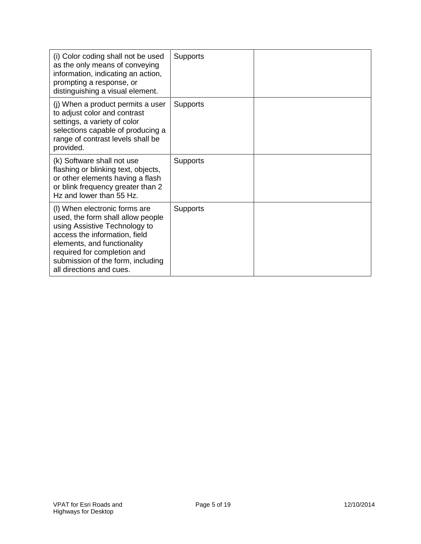| (i) Color coding shall not be used<br>as the only means of conveying<br>information, indicating an action,<br>prompting a response, or<br>distinguishing a visual element.                                                                                          | <b>Supports</b> |  |
|---------------------------------------------------------------------------------------------------------------------------------------------------------------------------------------------------------------------------------------------------------------------|-----------------|--|
| (j) When a product permits a user<br>to adjust color and contrast<br>settings, a variety of color<br>selections capable of producing a<br>range of contrast levels shall be<br>provided.                                                                            | <b>Supports</b> |  |
| (k) Software shall not use<br>flashing or blinking text, objects,<br>or other elements having a flash<br>or blink frequency greater than 2<br>Hz and lower than 55 Hz.                                                                                              | <b>Supports</b> |  |
| (I) When electronic forms are<br>used, the form shall allow people<br>using Assistive Technology to<br>access the information, field<br>elements, and functionality<br>required for completion and<br>submission of the form, including<br>all directions and cues. | <b>Supports</b> |  |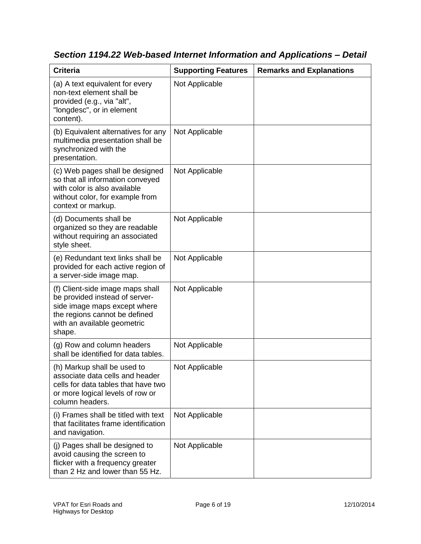| <b>Criteria</b>                                                                                                                                                              | <b>Supporting Features</b> | <b>Remarks and Explanations</b> |
|------------------------------------------------------------------------------------------------------------------------------------------------------------------------------|----------------------------|---------------------------------|
| (a) A text equivalent for every<br>non-text element shall be<br>provided (e.g., via "alt",<br>"longdesc", or in element<br>content).                                         | Not Applicable             |                                 |
| (b) Equivalent alternatives for any<br>multimedia presentation shall be<br>synchronized with the<br>presentation.                                                            | Not Applicable             |                                 |
| (c) Web pages shall be designed<br>so that all information conveyed<br>with color is also available<br>without color, for example from<br>context or markup.                 | Not Applicable             |                                 |
| (d) Documents shall be<br>organized so they are readable<br>without requiring an associated<br>style sheet.                                                                  | Not Applicable             |                                 |
| (e) Redundant text links shall be<br>provided for each active region of<br>a server-side image map.                                                                          | Not Applicable             |                                 |
| (f) Client-side image maps shall<br>be provided instead of server-<br>side image maps except where<br>the regions cannot be defined<br>with an available geometric<br>shape. | Not Applicable             |                                 |
| (g) Row and column headers<br>shall be identified for data tables.                                                                                                           | Not Applicable             |                                 |
| (h) Markup shall be used to<br>associate data cells and header<br>cells for data tables that have two<br>or more logical levels of row or<br>column headers.                 | Not Applicable             |                                 |
| (i) Frames shall be titled with text<br>that facilitates frame identification<br>and navigation.                                                                             | Not Applicable             |                                 |
| (j) Pages shall be designed to<br>avoid causing the screen to<br>flicker with a frequency greater<br>than 2 Hz and lower than 55 Hz.                                         | Not Applicable             |                                 |

*Section 1194.22 Web-based Internet Information and Applications – Detail*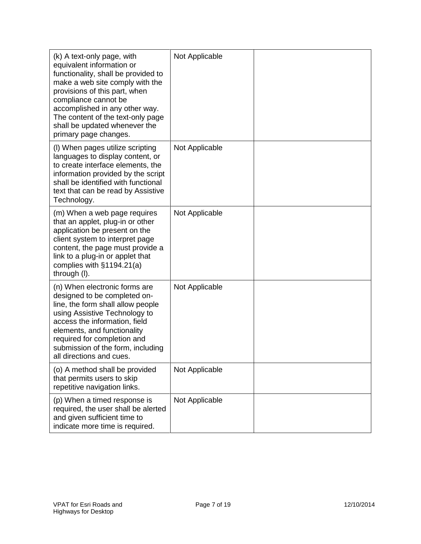| (k) A text-only page, with<br>equivalent information or<br>functionality, shall be provided to<br>make a web site comply with the<br>provisions of this part, when<br>compliance cannot be<br>accomplished in any other way.<br>The content of the text-only page<br>shall be updated whenever the<br>primary page changes. | Not Applicable |  |
|-----------------------------------------------------------------------------------------------------------------------------------------------------------------------------------------------------------------------------------------------------------------------------------------------------------------------------|----------------|--|
| (I) When pages utilize scripting<br>languages to display content, or<br>to create interface elements, the<br>information provided by the script<br>shall be identified with functional<br>text that can be read by Assistive<br>Technology.                                                                                 | Not Applicable |  |
| (m) When a web page requires<br>that an applet, plug-in or other<br>application be present on the<br>client system to interpret page<br>content, the page must provide a<br>link to a plug-in or applet that<br>complies with §1194.21(a)<br>through (I).                                                                   | Not Applicable |  |
| (n) When electronic forms are<br>designed to be completed on-<br>line, the form shall allow people<br>using Assistive Technology to<br>access the information, field<br>elements, and functionality<br>required for completion and<br>submission of the form, including<br>all directions and cues.                         | Not Applicable |  |
| (o) A method shall be provided<br>that permits users to skip<br>repetitive navigation links.                                                                                                                                                                                                                                | Not Applicable |  |
| (p) When a timed response is<br>required, the user shall be alerted<br>and given sufficient time to<br>indicate more time is required.                                                                                                                                                                                      | Not Applicable |  |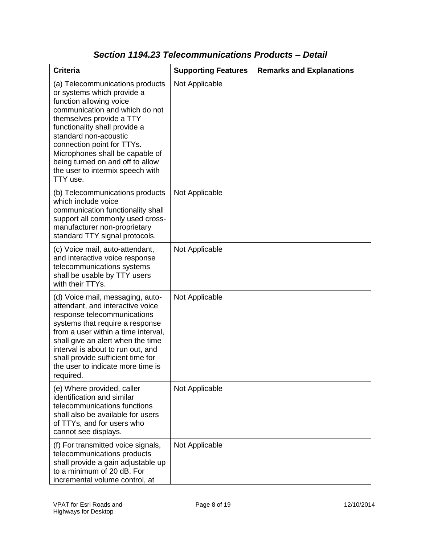| <b>Criteria</b>                                                                                                                                                                                                                                                                                                                                                       | <b>Supporting Features</b> | <b>Remarks and Explanations</b> |
|-----------------------------------------------------------------------------------------------------------------------------------------------------------------------------------------------------------------------------------------------------------------------------------------------------------------------------------------------------------------------|----------------------------|---------------------------------|
| (a) Telecommunications products<br>or systems which provide a<br>function allowing voice<br>communication and which do not<br>themselves provide a TTY<br>functionality shall provide a<br>standard non-acoustic<br>connection point for TTYs.<br>Microphones shall be capable of<br>being turned on and off to allow<br>the user to intermix speech with<br>TTY use. | Not Applicable             |                                 |
| (b) Telecommunications products<br>which include voice<br>communication functionality shall<br>support all commonly used cross-<br>manufacturer non-proprietary<br>standard TTY signal protocols.                                                                                                                                                                     | Not Applicable             |                                 |
| (c) Voice mail, auto-attendant,<br>and interactive voice response<br>telecommunications systems<br>shall be usable by TTY users<br>with their TTYs.                                                                                                                                                                                                                   | Not Applicable             |                                 |
| (d) Voice mail, messaging, auto-<br>attendant, and interactive voice<br>response telecommunications<br>systems that require a response<br>from a user within a time interval,<br>shall give an alert when the time<br>interval is about to run out, and<br>shall provide sufficient time for<br>the user to indicate more time is<br>required.                        | Not Applicable             |                                 |
| (e) Where provided, caller<br>identification and similar<br>telecommunications functions<br>shall also be available for users<br>of TTYs, and for users who<br>cannot see displays.                                                                                                                                                                                   | Not Applicable             |                                 |
| (f) For transmitted voice signals,<br>telecommunications products<br>shall provide a gain adjustable up<br>to a minimum of 20 dB. For<br>incremental volume control, at                                                                                                                                                                                               | Not Applicable             |                                 |

### *Section 1194.23 Telecommunications Products – Detail*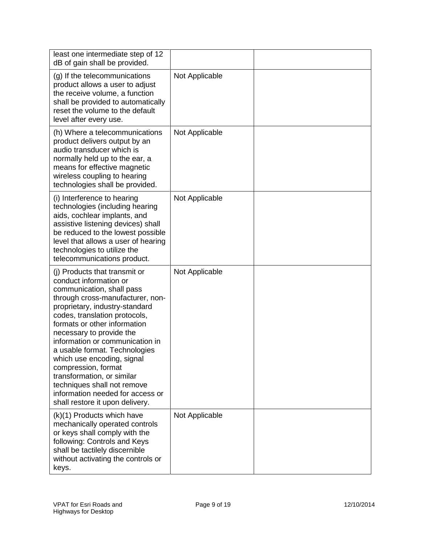| least one intermediate step of 12<br>dB of gain shall be provided.                                                                                                                                                                                                                                                                                                                                                                                                                                                   |                |  |
|----------------------------------------------------------------------------------------------------------------------------------------------------------------------------------------------------------------------------------------------------------------------------------------------------------------------------------------------------------------------------------------------------------------------------------------------------------------------------------------------------------------------|----------------|--|
| (g) If the telecommunications<br>product allows a user to adjust<br>the receive volume, a function<br>shall be provided to automatically<br>reset the volume to the default<br>level after every use.                                                                                                                                                                                                                                                                                                                | Not Applicable |  |
| (h) Where a telecommunications<br>product delivers output by an<br>audio transducer which is<br>normally held up to the ear, a<br>means for effective magnetic<br>wireless coupling to hearing<br>technologies shall be provided.                                                                                                                                                                                                                                                                                    | Not Applicable |  |
| (i) Interference to hearing<br>technologies (including hearing<br>aids, cochlear implants, and<br>assistive listening devices) shall<br>be reduced to the lowest possible<br>level that allows a user of hearing<br>technologies to utilize the<br>telecommunications product.                                                                                                                                                                                                                                       | Not Applicable |  |
| (i) Products that transmit or<br>conduct information or<br>communication, shall pass<br>through cross-manufacturer, non-<br>proprietary, industry-standard<br>codes, translation protocols,<br>formats or other information<br>necessary to provide the<br>information or communication in<br>a usable format. Technologies<br>which use encoding, signal<br>compression, format<br>transformation, or similar<br>techniques shall not remove<br>information needed for access or<br>shall restore it upon delivery. | Not Applicable |  |
| (k)(1) Products which have<br>mechanically operated controls<br>or keys shall comply with the<br>following: Controls and Keys<br>shall be tactilely discernible<br>without activating the controls or<br>keys.                                                                                                                                                                                                                                                                                                       | Not Applicable |  |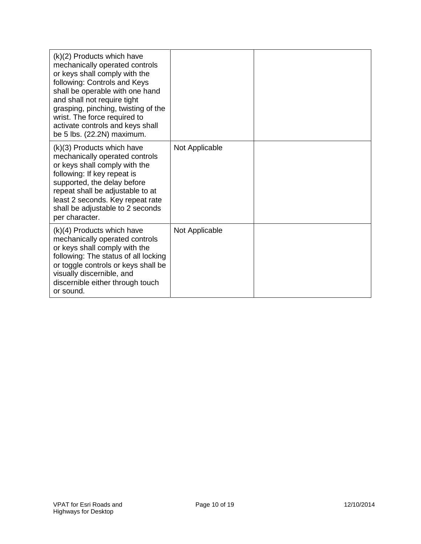| $(k)(2)$ Products which have<br>mechanically operated controls<br>or keys shall comply with the<br>following: Controls and Keys<br>shall be operable with one hand<br>and shall not require tight<br>grasping, pinching, twisting of the<br>wrist. The force required to<br>activate controls and keys shall<br>be 5 lbs. (22.2N) maximum. |                |  |
|--------------------------------------------------------------------------------------------------------------------------------------------------------------------------------------------------------------------------------------------------------------------------------------------------------------------------------------------|----------------|--|
| (k)(3) Products which have<br>mechanically operated controls<br>or keys shall comply with the<br>following: If key repeat is<br>supported, the delay before<br>repeat shall be adjustable to at<br>least 2 seconds. Key repeat rate<br>shall be adjustable to 2 seconds<br>per character.                                                  | Not Applicable |  |
| $(k)(4)$ Products which have<br>mechanically operated controls<br>or keys shall comply with the<br>following: The status of all locking<br>or toggle controls or keys shall be<br>visually discernible, and<br>discernible either through touch<br>or sound.                                                                               | Not Applicable |  |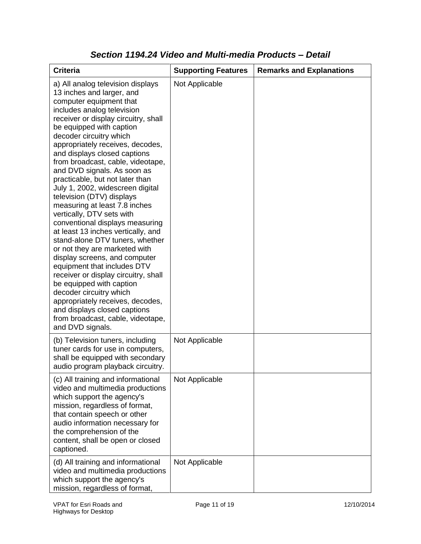| <b>Criteria</b>                                                                                                                                                                                                                                                                                                                                                                                                                                                                                                                                                                                                                                                                                                                                                                                                                                                                                                                                                           | <b>Supporting Features</b> | <b>Remarks and Explanations</b> |
|---------------------------------------------------------------------------------------------------------------------------------------------------------------------------------------------------------------------------------------------------------------------------------------------------------------------------------------------------------------------------------------------------------------------------------------------------------------------------------------------------------------------------------------------------------------------------------------------------------------------------------------------------------------------------------------------------------------------------------------------------------------------------------------------------------------------------------------------------------------------------------------------------------------------------------------------------------------------------|----------------------------|---------------------------------|
| a) All analog television displays<br>13 inches and larger, and<br>computer equipment that<br>includes analog television<br>receiver or display circuitry, shall<br>be equipped with caption<br>decoder circuitry which<br>appropriately receives, decodes,<br>and displays closed captions<br>from broadcast, cable, videotape,<br>and DVD signals. As soon as<br>practicable, but not later than<br>July 1, 2002, widescreen digital<br>television (DTV) displays<br>measuring at least 7.8 inches<br>vertically, DTV sets with<br>conventional displays measuring<br>at least 13 inches vertically, and<br>stand-alone DTV tuners, whether<br>or not they are marketed with<br>display screens, and computer<br>equipment that includes DTV<br>receiver or display circuitry, shall<br>be equipped with caption<br>decoder circuitry which<br>appropriately receives, decodes,<br>and displays closed captions<br>from broadcast, cable, videotape,<br>and DVD signals. | Not Applicable             |                                 |
| (b) Television tuners, including<br>tuner cards for use in computers,<br>shall be equipped with secondary<br>audio program playback circuitry.                                                                                                                                                                                                                                                                                                                                                                                                                                                                                                                                                                                                                                                                                                                                                                                                                            | Not Applicable             |                                 |
| (c) All training and informational<br>video and multimedia productions<br>which support the agency's<br>mission, regardless of format,<br>that contain speech or other<br>audio information necessary for<br>the comprehension of the<br>content, shall be open or closed<br>captioned.                                                                                                                                                                                                                                                                                                                                                                                                                                                                                                                                                                                                                                                                                   | Not Applicable             |                                 |
| (d) All training and informational<br>video and multimedia productions<br>which support the agency's<br>mission, regardless of format,                                                                                                                                                                                                                                                                                                                                                                                                                                                                                                                                                                                                                                                                                                                                                                                                                                    | Not Applicable             |                                 |

### *Section 1194.24 Video and Multi-media Products – Detail*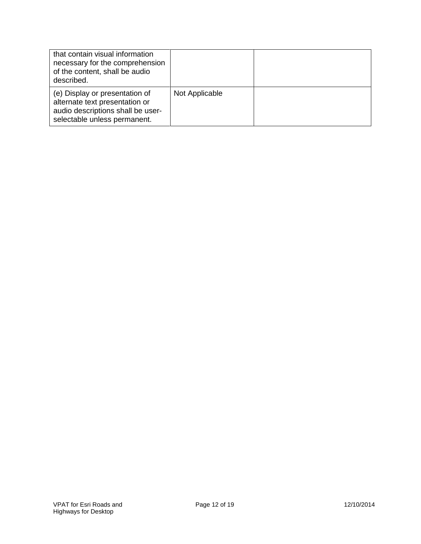| that contain visual information<br>necessary for the comprehension<br>of the content, shall be audio<br>described.                    |                |  |
|---------------------------------------------------------------------------------------------------------------------------------------|----------------|--|
| (e) Display or presentation of<br>alternate text presentation or<br>audio descriptions shall be user-<br>selectable unless permanent. | Not Applicable |  |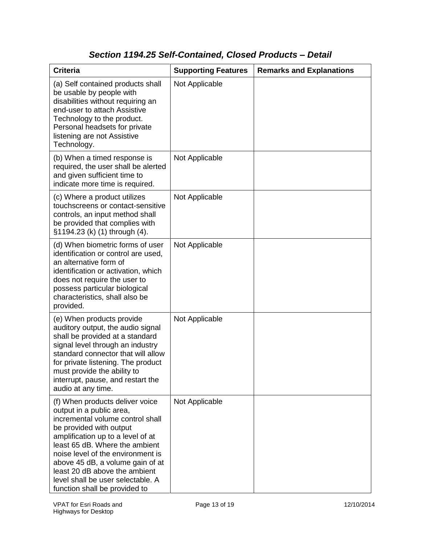## *Section 1194.25 Self-Contained, Closed Products – Detail*

| <b>Criteria</b>                                                                                                                                                                                                                                                                                                                                                                   | <b>Supporting Features</b> | <b>Remarks and Explanations</b> |
|-----------------------------------------------------------------------------------------------------------------------------------------------------------------------------------------------------------------------------------------------------------------------------------------------------------------------------------------------------------------------------------|----------------------------|---------------------------------|
| (a) Self contained products shall<br>be usable by people with<br>disabilities without requiring an<br>end-user to attach Assistive<br>Technology to the product.<br>Personal headsets for private<br>listening are not Assistive<br>Technology.                                                                                                                                   | Not Applicable             |                                 |
| (b) When a timed response is<br>required, the user shall be alerted<br>and given sufficient time to<br>indicate more time is required.                                                                                                                                                                                                                                            | Not Applicable             |                                 |
| (c) Where a product utilizes<br>touchscreens or contact-sensitive<br>controls, an input method shall<br>be provided that complies with<br>§1194.23 (k) (1) through (4).                                                                                                                                                                                                           | Not Applicable             |                                 |
| (d) When biometric forms of user<br>identification or control are used,<br>an alternative form of<br>identification or activation, which<br>does not require the user to<br>possess particular biological<br>characteristics, shall also be<br>provided.                                                                                                                          | Not Applicable             |                                 |
| (e) When products provide<br>auditory output, the audio signal<br>shall be provided at a standard<br>signal level through an industry<br>standard connector that will allow<br>for private listening. The product<br>must provide the ability to<br>interrupt, pause, and restart the<br>audio at any time.                                                                       | Not Applicable             |                                 |
| (f) When products deliver voice<br>output in a public area,<br>incremental volume control shall<br>be provided with output<br>amplification up to a level of at<br>least 65 dB. Where the ambient<br>noise level of the environment is<br>above 45 dB, a volume gain of at<br>least 20 dB above the ambient<br>level shall be user selectable. A<br>function shall be provided to | Not Applicable             |                                 |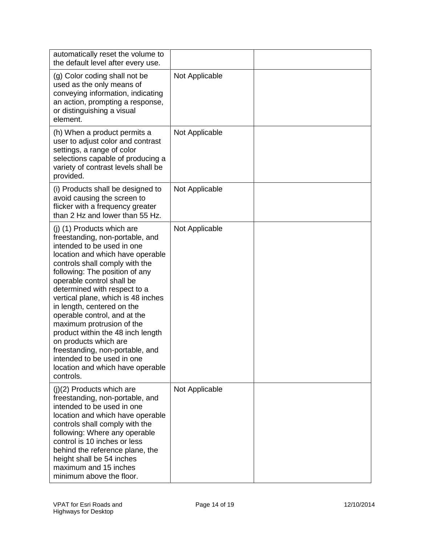| automatically reset the volume to<br>the default level after every use.                                                                                                                                                                                                                                                                                                                                                                                                                                                                                                           |                |  |
|-----------------------------------------------------------------------------------------------------------------------------------------------------------------------------------------------------------------------------------------------------------------------------------------------------------------------------------------------------------------------------------------------------------------------------------------------------------------------------------------------------------------------------------------------------------------------------------|----------------|--|
| (g) Color coding shall not be<br>used as the only means of<br>conveying information, indicating<br>an action, prompting a response,<br>or distinguishing a visual<br>element.                                                                                                                                                                                                                                                                                                                                                                                                     | Not Applicable |  |
| (h) When a product permits a<br>user to adjust color and contrast<br>settings, a range of color<br>selections capable of producing a<br>variety of contrast levels shall be<br>provided.                                                                                                                                                                                                                                                                                                                                                                                          | Not Applicable |  |
| (i) Products shall be designed to<br>avoid causing the screen to<br>flicker with a frequency greater<br>than 2 Hz and lower than 55 Hz.                                                                                                                                                                                                                                                                                                                                                                                                                                           | Not Applicable |  |
| (j) (1) Products which are<br>freestanding, non-portable, and<br>intended to be used in one<br>location and which have operable<br>controls shall comply with the<br>following: The position of any<br>operable control shall be<br>determined with respect to a<br>vertical plane, which is 48 inches<br>in length, centered on the<br>operable control, and at the<br>maximum protrusion of the<br>product within the 48 inch length<br>on products which are<br>freestanding, non-portable, and<br>intended to be used in one<br>location and which have operable<br>controls. | Not Applicable |  |
| $(j)(2)$ Products which are<br>freestanding, non-portable, and<br>intended to be used in one<br>location and which have operable<br>controls shall comply with the<br>following: Where any operable<br>control is 10 inches or less<br>behind the reference plane, the<br>height shall be 54 inches<br>maximum and 15 inches<br>minimum above the floor.                                                                                                                                                                                                                          | Not Applicable |  |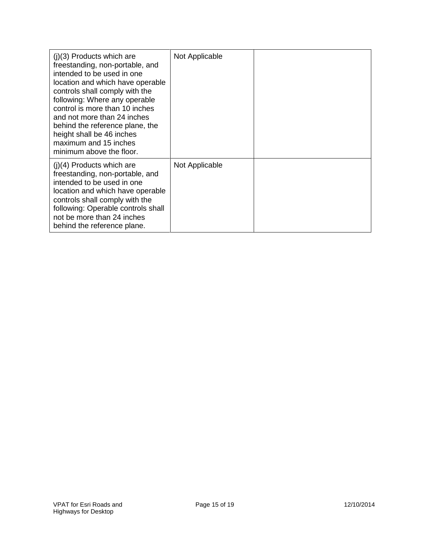| $(i)(3)$ Products which are<br>freestanding, non-portable, and<br>intended to be used in one<br>location and which have operable<br>controls shall comply with the<br>following: Where any operable<br>control is more than 10 inches<br>and not more than 24 inches<br>behind the reference plane, the<br>height shall be 46 inches<br>maximum and 15 inches<br>minimum above the floor. | Not Applicable |  |
|-------------------------------------------------------------------------------------------------------------------------------------------------------------------------------------------------------------------------------------------------------------------------------------------------------------------------------------------------------------------------------------------|----------------|--|
| $(i)(4)$ Products which are<br>freestanding, non-portable, and<br>intended to be used in one<br>location and which have operable<br>controls shall comply with the<br>following: Operable controls shall<br>not be more than 24 inches<br>behind the reference plane.                                                                                                                     | Not Applicable |  |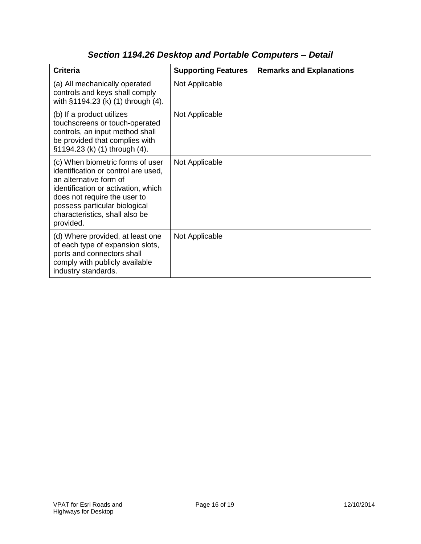| <b>Criteria</b>                                                                                                                                                                                                                                          | <b>Supporting Features</b> | <b>Remarks and Explanations</b> |
|----------------------------------------------------------------------------------------------------------------------------------------------------------------------------------------------------------------------------------------------------------|----------------------------|---------------------------------|
| (a) All mechanically operated<br>controls and keys shall comply<br>with §1194.23 (k) (1) through (4).                                                                                                                                                    | Not Applicable             |                                 |
| (b) If a product utilizes<br>touchscreens or touch-operated<br>controls, an input method shall<br>be provided that complies with<br>§1194.23 (k) (1) through (4).                                                                                        | Not Applicable             |                                 |
| (c) When biometric forms of user<br>identification or control are used,<br>an alternative form of<br>identification or activation, which<br>does not require the user to<br>possess particular biological<br>characteristics, shall also be<br>provided. | Not Applicable             |                                 |
| (d) Where provided, at least one<br>of each type of expansion slots,<br>ports and connectors shall<br>comply with publicly available<br>industry standards.                                                                                              | Not Applicable             |                                 |

## *Section 1194.26 Desktop and Portable Computers – Detail*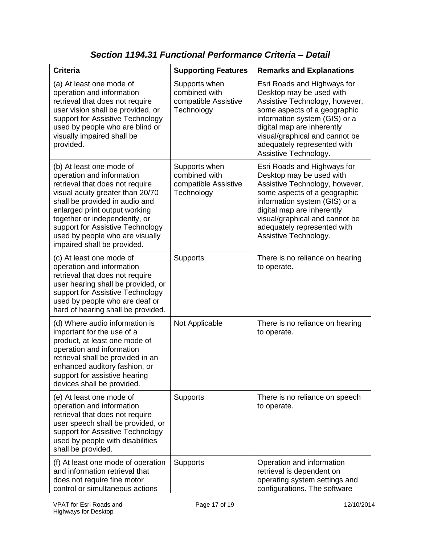| <b>Criteria</b>                                                                                                                                                                                                                                                                                                                        | <b>Supporting Features</b>                                           | <b>Remarks and Explanations</b>                                                                                                                                                                                                                                                    |
|----------------------------------------------------------------------------------------------------------------------------------------------------------------------------------------------------------------------------------------------------------------------------------------------------------------------------------------|----------------------------------------------------------------------|------------------------------------------------------------------------------------------------------------------------------------------------------------------------------------------------------------------------------------------------------------------------------------|
| (a) At least one mode of<br>operation and information<br>retrieval that does not require<br>user vision shall be provided, or<br>support for Assistive Technology<br>used by people who are blind or<br>visually impaired shall be<br>provided.                                                                                        | Supports when<br>combined with<br>compatible Assistive<br>Technology | Esri Roads and Highways for<br>Desktop may be used with<br>Assistive Technology, however,<br>some aspects of a geographic<br>information system (GIS) or a<br>digital map are inherently<br>visual/graphical and cannot be<br>adequately represented with<br>Assistive Technology. |
| (b) At least one mode of<br>operation and information<br>retrieval that does not require<br>visual acuity greater than 20/70<br>shall be provided in audio and<br>enlarged print output working<br>together or independently, or<br>support for Assistive Technology<br>used by people who are visually<br>impaired shall be provided. | Supports when<br>combined with<br>compatible Assistive<br>Technology | Esri Roads and Highways for<br>Desktop may be used with<br>Assistive Technology, however,<br>some aspects of a geographic<br>information system (GIS) or a<br>digital map are inherently<br>visual/graphical and cannot be<br>adequately represented with<br>Assistive Technology. |
| (c) At least one mode of<br>operation and information<br>retrieval that does not require<br>user hearing shall be provided, or<br>support for Assistive Technology<br>used by people who are deaf or<br>hard of hearing shall be provided.                                                                                             | <b>Supports</b>                                                      | There is no reliance on hearing<br>to operate.                                                                                                                                                                                                                                     |
| (d) Where audio information is<br>important for the use of a<br>product, at least one mode of<br>operation and information<br>retrieval shall be provided in an<br>enhanced auditory fashion, or<br>support for assistive hearing<br>devices shall be provided.                                                                        | Not Applicable                                                       | There is no reliance on hearing<br>to operate.                                                                                                                                                                                                                                     |
| (e) At least one mode of<br>operation and information<br>retrieval that does not require<br>user speech shall be provided, or<br>support for Assistive Technology<br>used by people with disabilities<br>shall be provided.                                                                                                            | Supports                                                             | There is no reliance on speech<br>to operate.                                                                                                                                                                                                                                      |
| (f) At least one mode of operation<br>and information retrieval that<br>does not require fine motor<br>control or simultaneous actions                                                                                                                                                                                                 | <b>Supports</b>                                                      | Operation and information<br>retrieval is dependent on<br>operating system settings and<br>configurations. The software                                                                                                                                                            |

*Section 1194.31 Functional Performance Criteria – Detail*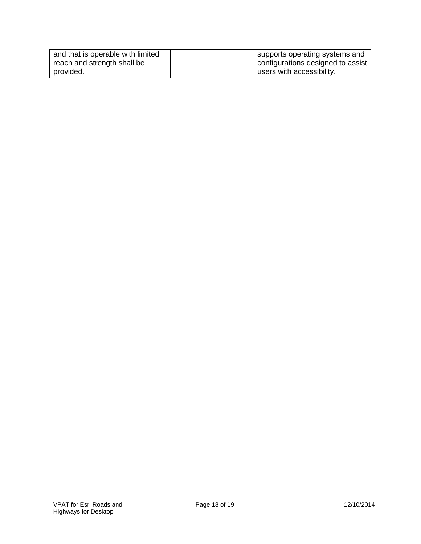| and that is operable with limited | supports operating systems and    |
|-----------------------------------|-----------------------------------|
| reach and strength shall be       | configurations designed to assist |
| provided.                         | users with accessibility.         |